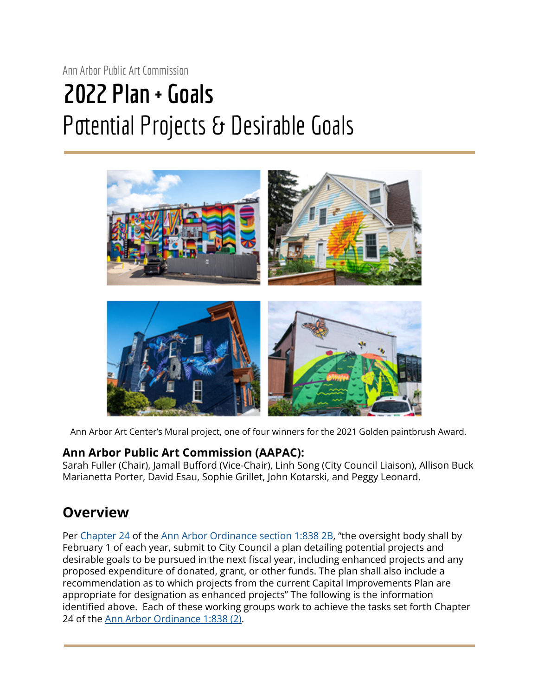# Ann Arbor Public Art Commission **2022 Plan + Goals** Potential Projects & Desirable Goals



Ann Arbor Art Center's Mural project, one of four winners for the 2021 Golden paintbrush Award.

#### **Ann Arbor Public Art Commission (AAPAC):**

Sarah Fuller (Chair), Jamall Bufford (Vice-Chair), Linh Song (City Council Liaison), Allison Buck Marianetta Porter, David Esau, Sophie Grillet, John Kotarski, and Peggy Leonard.

# **Overview**

Per Chapter 24 of the Ann Arbor Ordinance section 1:838 2B, "the oversight body shall by February 1 of each year, submit to City Council a plan detailing potential projects and desirable goals to be pursued in the next fiscal year, including enhanced projects and any proposed expenditure of donated, grant, or other funds. The plan shall also include a recommendation as to which projects from the current Capital Improvements Plan are appropriate for designation as enhanced projects" The following is the information identified above. Each of these working groups work to achieve the tasks set forth Chapter 24 of the Ann Arbor [Ordinance](https://library.municode.com/mi/ann_arbor/codes/code_of_ordinances?nodeId=TITIAD_CH24PUAR) 1:838 (2).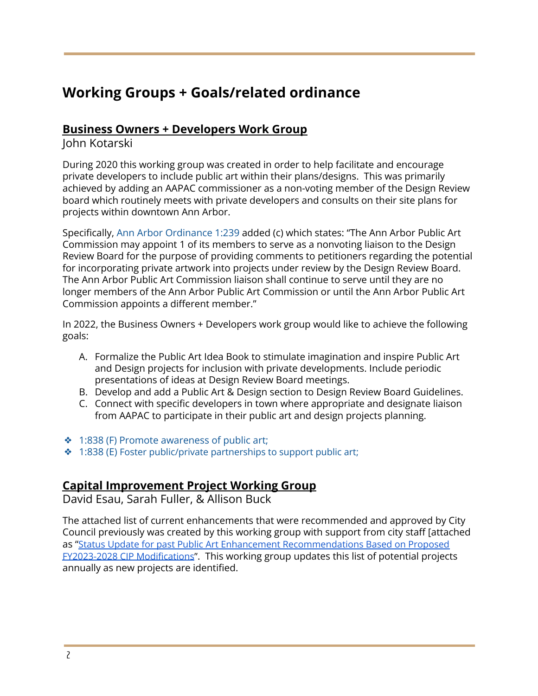# **Working Groups + Goals/related ordinance**

#### **Business Owners + Developers Work Group**

John Kotarski

During 2020 this working group was created in order to help facilitate and encourage private developers to include public art within their plans/designs. This was primarily achieved by adding an AAPAC commissioner as a non-voting member of the Design Review board which routinely meets with private developers and consults on their site plans for projects within downtown Ann Arbor.

Specifically, Ann Arbor Ordinance 1:239 added (c) which states: "The Ann Arbor Public Art Commission may appoint 1 of its members to serve as a nonvoting liaison to the Design Review Board for the purpose of providing comments to petitioners regarding the potential for incorporating private artwork into projects under review by the Design Review Board. The Ann Arbor Public Art Commission liaison shall continue to serve until they are no longer members of the Ann Arbor Public Art Commission or until the Ann Arbor Public Art Commission appoints a different member."

In 2022, the Business Owners + Developers work group would like to achieve the following goals:

- A. Formalize the Public Art Idea Book to stimulate imagination and inspire Public Art and Design projects for inclusion with private developments. Include periodic presentations of ideas at Design Review Board meetings.
- B. Develop and add a Public Art & Design section to Design Review Board Guidelines.
- C. Connect with specific developers in town where appropriate and designate liaison from AAPAC to participate in their public art and design projects planning.
- ❖ 1:838 (F) Promote awareness of public art;
- ❖ 1:838 (E) Foster public/private partnerships to support public art;

#### **Capital Improvement Project Working Group**

David Esau, Sarah Fuller, & Allison Buck

The attached list of current enhancements that were recommended and approved by City Council previously was created by this working group with support from city staff [attached as "[Status Update for past Public Art Enhancement](https://drive.google.com/drive/u/1/my-drive) Recommendations Based on Proposed [FY2023-2028 CIP Modifications](https://drive.google.com/drive/u/1/my-drive)". This working group updates this list of potential projects annually as new projects are identified.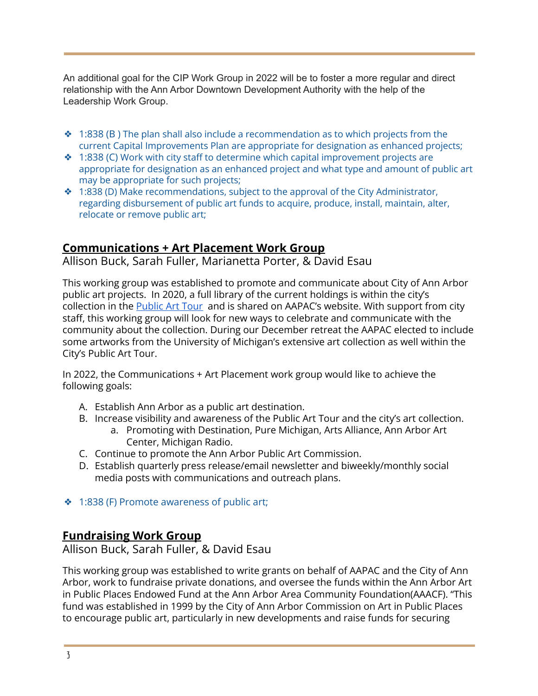An additional goal for the CIP Work Group in 2022 will be to foster a more regular and direct relationship with the Ann Arbor Downtown Development Authority with the help of the Leadership Work Group.

- $\div$  1:838 (B) The plan shall also include a recommendation as to which projects from the current Capital Improvements Plan are appropriate for designation as enhanced projects;
- $\div$  1:838 (C) Work with city staff to determine which capital improvement projects are appropriate for designation as an enhanced project and what type and amount of public art may be appropriate for such projects;
- ❖ 1:838 (D) Make recommendations, subject to the approval of the City Administrator, regarding disbursement of public art funds to acquire, produce, install, maintain, alter, relocate or remove public art;

## **Communications + Art Placement Work Group**

Allison Buck, Sarah Fuller, Marianetta Porter, & David Esau

This working group was established to promote and communicate about City of Ann Arbor public art projects. In 2020, a full library of the current holdings is within the city's collection in the [Public](https://www2.a2gov.org/GIS/MapAnnArbor/PublicArt/) Art Tour and is shared on AAPAC's website. With support from city staff, this working group will look for new ways to celebrate and communicate with the community about the collection. During our December retreat the AAPAC elected to include some artworks from the University of Michigan's extensive art collection as well within the City's Public Art Tour.

In 2022, the Communications + Art Placement work group would like to achieve the following goals:

- A. Establish Ann Arbor as a public art destination.
- B. Increase visibility and awareness of the Public Art Tour and the city's art collection.
	- a. Promoting with Destination, Pure Michigan, Arts Alliance, Ann Arbor Art Center, Michigan Radio.
- C. Continue to promote the Ann Arbor Public Art Commission.
- D. Establish quarterly press release/email newsletter and biweekly/monthly social media posts with communications and outreach plans.
- ❖ 1:838 (F) Promote awareness of public art;

## **Fundraising Work Group**

Allison Buck, Sarah Fuller, & David Esau

This working group was established to write grants on behalf of AAPAC and the City of Ann Arbor, work to fundraise private donations, and oversee the funds within the Ann Arbor Art in Public Places Endowed Fund at the Ann Arbor Area Community Foundation(AAACF). "This fund was established in 1999 by the City of Ann Arbor Commission on Art in Public Places to encourage public art, particularly in new developments and raise funds for securing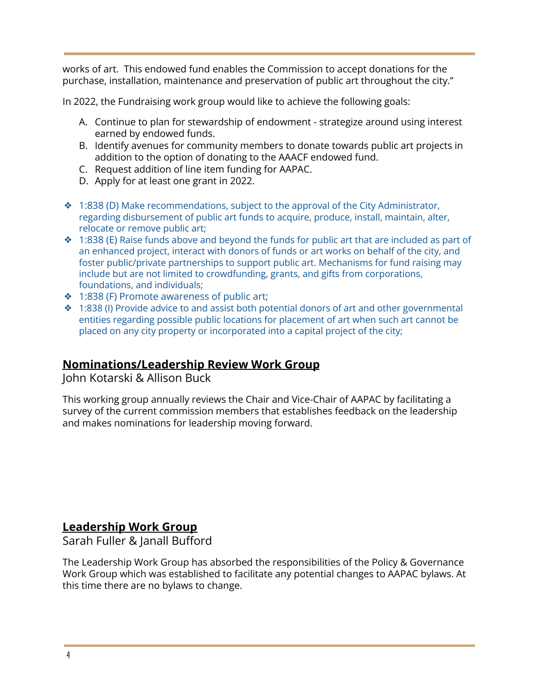works of art. This endowed fund enables the Commission to accept donations for the purchase, installation, maintenance and preservation of public art throughout the city."

In 2022, the Fundraising work group would like to achieve the following goals:

- A. Continue to plan for stewardship of endowment strategize around using interest earned by endowed funds.
- B. Identify avenues for community members to donate towards public art projects in addition to the option of donating to the AAACF endowed fund.
- C. Request addition of line item funding for AAPAC.
- D. Apply for at least one grant in 2022.
- ❖ 1:838 (D) Make recommendations, subject to the approval of the City Administrator, regarding disbursement of public art funds to acquire, produce, install, maintain, alter, relocate or remove public art;
- $\div$  1:838 (E) Raise funds above and beyond the funds for public art that are included as part of an enhanced project, interact with donors of funds or art works on behalf of the city, and foster public/private partnerships to support public art. Mechanisms for fund raising may include but are not limited to crowdfunding, grants, and gifts from corporations, foundations, and individuals;
- ❖ 1:838 (F) Promote awareness of public art;
- ❖ 1:838 (I) Provide advice to and assist both potential donors of art and other governmental entities regarding possible public locations for placement of art when such art cannot be placed on any city property or incorporated into a capital project of the city;

## **Nominations/Leadership Review Work Group**

John Kotarski & Allison Buck

This working group annually reviews the Chair and Vice-Chair of AAPAC by facilitating a survey of the current commission members that establishes feedback on the leadership and makes nominations for leadership moving forward.

#### **Leadership Work Group**

Sarah Fuller & Janall Bufford

The Leadership Work Group has absorbed the responsibilities of the Policy & Governance Work Group which was established to facilitate any potential changes to AAPAC bylaws. At this time there are no bylaws to change.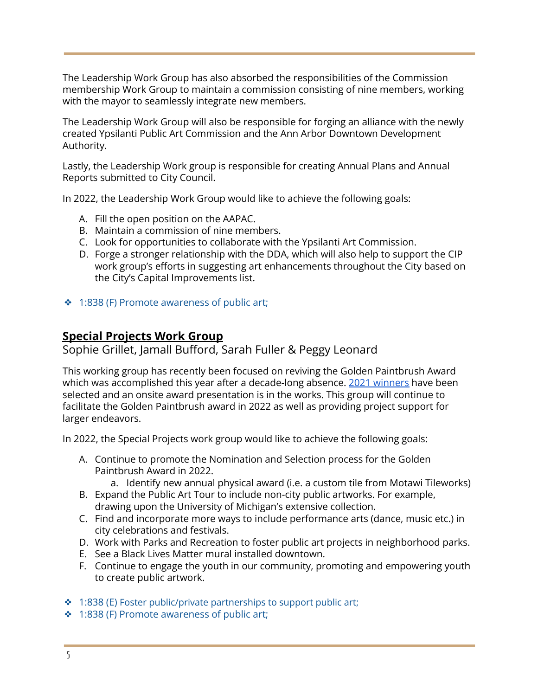The Leadership Work Group has also absorbed the responsibilities of the Commission membership Work Group to maintain a commission consisting of nine members, working with the mayor to seamlessly integrate new members.

The Leadership Work Group will also be responsible for forging an alliance with the newly created Ypsilanti Public Art Commission and the Ann Arbor Downtown Development Authority.

Lastly, the Leadership Work group is responsible for creating Annual Plans and Annual Reports submitted to City Council.

In 2022, the Leadership Work Group would like to achieve the following goals:

- A. Fill the open position on the AAPAC.
- B. Maintain a commission of nine members.
- C. Look for opportunities to collaborate with the Ypsilanti Art Commission.
- D. Forge a stronger relationship with the DDA, which will also help to support the CIP work group's efforts in suggesting art enhancements throughout the City based on the City's Capital Improvements list.
- ❖ 1:838 (F) Promote awareness of public art;

#### **Special Projects Work Group**

Sophie Grillet, Jamall Bufford, Sarah Fuller & Peggy Leonard

This working group has recently been focused on reviving the Golden Paintbrush Award which was accomplished this year after a decade-long absence. 2021 [winners](https://www.a2gov.org/departments/public-services/Pages/Golden-Paintbrush-Award.aspx) have been selected and an onsite award presentation is in the works. This group will continue to facilitate the Golden Paintbrush award in 2022 as well as providing project support for larger endeavors.

In 2022, the Special Projects work group would like to achieve the following goals:

- A. Continue to promote the Nomination and Selection process for the Golden Paintbrush Award in 2022.
	- a. Identify new annual physical award (i.e. a custom tile from Motawi Tileworks)
- B. Expand the Public Art Tour to include non-city public artworks. For example, drawing upon the University of Michigan's extensive collection.
- C. Find and incorporate more ways to include performance arts (dance, music etc.) in city celebrations and festivals.
- D. Work with Parks and Recreation to foster public art projects in neighborhood parks.
- E. See a Black Lives Matter mural installed downtown.
- F. Continue to engage the youth in our community, promoting and empowering youth to create public artwork.
- ❖ 1:838 (E) Foster public/private partnerships to support public art;
- ❖ 1:838 (F) Promote awareness of public art;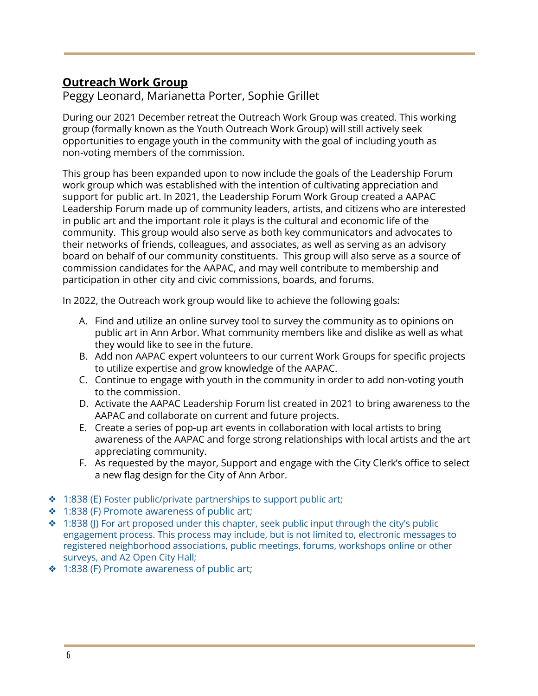## **Outreach Work Group**

Peggy Leonard, Marianetta Porter, Sophie Grillet

During our 2021 December retreat the Outreach Work Group was created. This working group (formally known as the Youth Outreach Work Group) will still actively seek opportunities to engage youth in the community with the goal of including youth as non-voting members of the commission.

This group has been expanded upon to now include the goals of the Leadership Forum work group which was established with the intention of cultivating appreciation and support for public art. In 2021, the Leadership Forum Work Group created a AAPAC Leadership Forum made up of community leaders, artists, and citizens who are interested in public art and the important role it plays is the cultural and economic life of the community. This group would also serve as both key communicators and advocates to their networks of friends, colleagues, and associates, as well as serving as an advisory board on behalf of our community constituents. This group will also serve as a source of commission candidates for the AAPAC, and may well contribute to membership and participation in other city and civic commissions, boards, and forums.

In 2022, the Outreach work group would like to achieve the following goals:

- A. Find and utilize an online survey tool to survey the community as to opinions on public art in Ann Arbor. What community members like and dislike as well as what they would like to see in the future.
- B. Add non AAPAC expert volunteers to our current Work Groups for specific projects to utilize expertise and grow knowledge of the AAPAC.
- C. Continue to engage with youth in the community in order to add non-voting youth to the commission.
- D. Activate the AAPAC Leadership Forum list created in 2021 to bring awareness to the AAPAC and collaborate on current and future projects.
- E. Create a series of pop-up art events in collaboration with local artists to bring awareness of the AAPAC and forge strong relationships with local artists and the art appreciating community.
- F. As requested by the mayor, Support and engage with the City Clerk's office to select a new flag design for the City of Ann Arbor.
- ❖ 1:838 (E) Foster public/private partnerships to support public art;
- ❖ 1:838 (F) Promote awareness of public art;
- ❖ 1:838 (J) For art proposed under this chapter, seek public input through the city's public engagement process. This process may include, but is not limited to, electronic messages to registered neighborhood associations, public meetings, forums, workshops online or other surveys, and A2 Open City Hall;
- ❖ 1:838 (F) Promote awareness of public art;